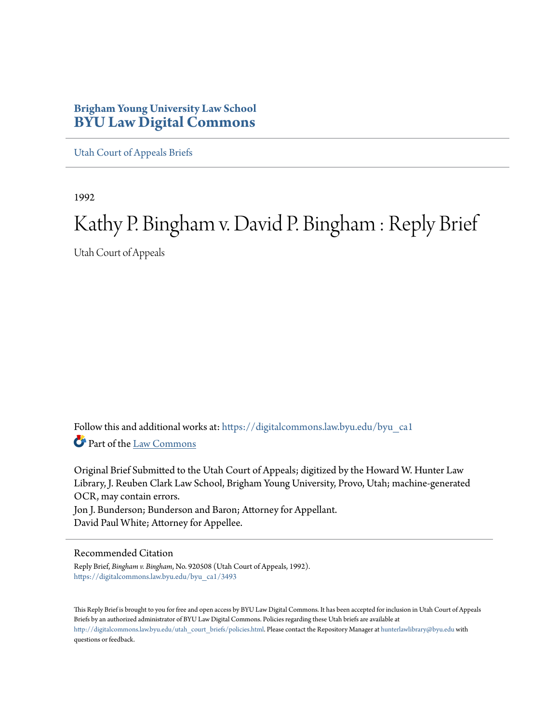## **Brigham Young University Law School [BYU Law Digital Commons](https://digitalcommons.law.byu.edu?utm_source=digitalcommons.law.byu.edu%2Fbyu_ca1%2F3493&utm_medium=PDF&utm_campaign=PDFCoverPages)**

[Utah Court of Appeals Briefs](https://digitalcommons.law.byu.edu/byu_ca1?utm_source=digitalcommons.law.byu.edu%2Fbyu_ca1%2F3493&utm_medium=PDF&utm_campaign=PDFCoverPages)

1992

# Kathy P. Bingham v. David P. Bingham : Reply Brief

Utah Court of Appeals

Follow this and additional works at: [https://digitalcommons.law.byu.edu/byu\\_ca1](https://digitalcommons.law.byu.edu/byu_ca1?utm_source=digitalcommons.law.byu.edu%2Fbyu_ca1%2F3493&utm_medium=PDF&utm_campaign=PDFCoverPages) Part of the [Law Commons](http://network.bepress.com/hgg/discipline/578?utm_source=digitalcommons.law.byu.edu%2Fbyu_ca1%2F3493&utm_medium=PDF&utm_campaign=PDFCoverPages)

Original Brief Submitted to the Utah Court of Appeals; digitized by the Howard W. Hunter Law Library, J. Reuben Clark Law School, Brigham Young University, Provo, Utah; machine-generated OCR, may contain errors. Jon J. Bunderson; Bunderson and Baron; Attorney for Appellant.

## David Paul White; Attorney for Appellee.

#### Recommended Citation

Reply Brief, *Bingham v. Bingham*, No. 920508 (Utah Court of Appeals, 1992). [https://digitalcommons.law.byu.edu/byu\\_ca1/3493](https://digitalcommons.law.byu.edu/byu_ca1/3493?utm_source=digitalcommons.law.byu.edu%2Fbyu_ca1%2F3493&utm_medium=PDF&utm_campaign=PDFCoverPages)

This Reply Brief is brought to you for free and open access by BYU Law Digital Commons. It has been accepted for inclusion in Utah Court of Appeals Briefs by an authorized administrator of BYU Law Digital Commons. Policies regarding these Utah briefs are available at [http://digitalcommons.law.byu.edu/utah\\_court\\_briefs/policies.html](http://digitalcommons.law.byu.edu/utah_court_briefs/policies.html). Please contact the Repository Manager at hunterlawlibrary@byu.edu with questions or feedback.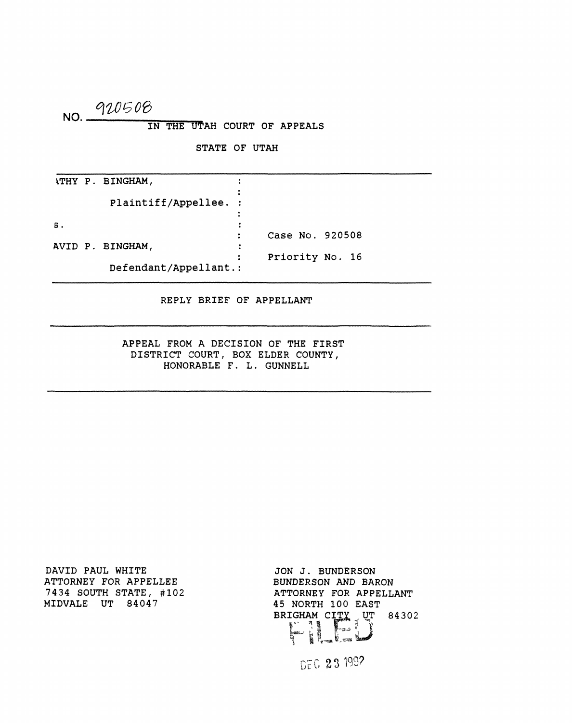## **NO.**  *<WJD%02>*  **IN THE UTAH COURT OF APPEALS**

**STATE OF UTAH** 

**WHY P. BINGHAM,**   $\ddot{\cdot}$ **Plaintiff/Appellee. s.**   $\ddot{\cdot}$ **Case No. 920508**   $\ddot{\cdot}$ **AVID P. BINGHAM,**   $\ddot{\cdot}$ **Priority No. 16**   $\ddot{\bullet}$ **Defendant/Appellant.** 

**REPLY BRIEF OF APPELLANT** 

**APPEAL FROM A DECISION OF THE FIRST DISTRICT COURT, BOX ELDER COUNTY, HONORABLE F. L. GUNNELL** 

**DAVID PAUL WHITE ATTORNEY FOR APPELLEE 7434 SOUTH STATE, #102 MIDVALE UT 84047** 

**JON J. BUNDERSON BUNDERSON AND BARON ATTORNEY FOR APPELLANT 45 NORTH 100 EAST**  BRIGHAM CITY UT

DEC 23 1992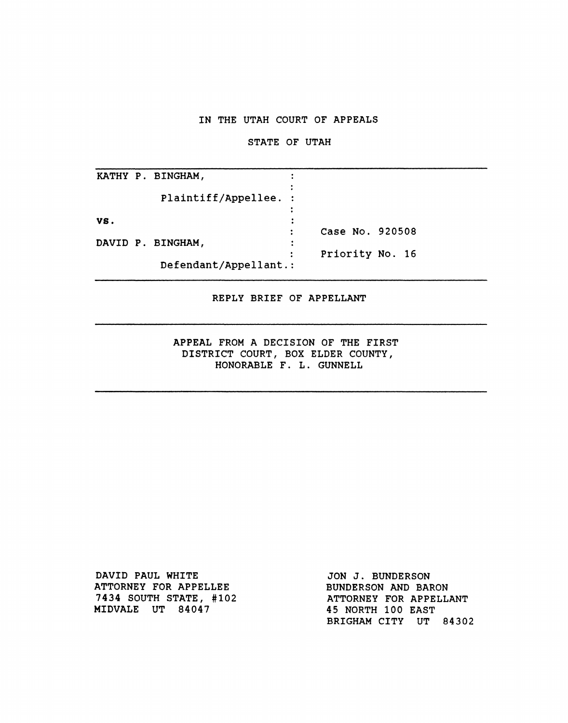## **IN THE UTAH COURT OF APPEALS**

#### **STATE OF UTAH**

|     | KATHY P. BINGHAM,     |                 |
|-----|-----------------------|-----------------|
|     | Plaintiff/Appellee. : |                 |
| VS. |                       |                 |
|     |                       | Case No. 920508 |
|     | DAVID P. BINGHAM,     | $\ddot{\cdot}$  |
|     |                       | Priority No. 16 |
|     | Defendant/Appellant.: |                 |

## **REPLY BRIEF OF APPELLANT**

**APPEAL FROM A DECISION OF THE FIRST DISTRICT COURT, BOX ELDER COUNTY, HONORABLE F. L. GUNNELL** 

**DAVID PAUL WHITE ATTORNEY FOR APPELLEE 7434 SOUTH STATE, #102 MIDVALE UT 84047** 

**JON J. BUNDERSON BUNDERSON AND BARON ATTORNEY FOR APPELLANT 45 NORTH 100 EAST BRIGHAM CITY UT 84302**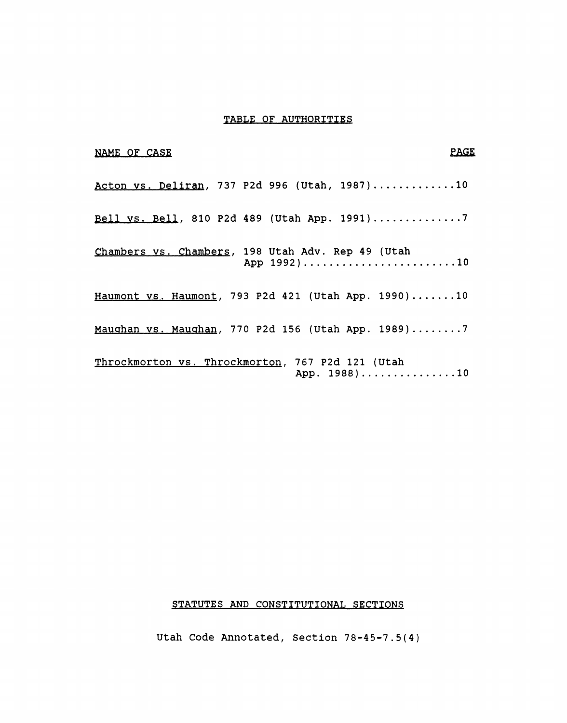## **TABLE OF AUTHORITIES**

| <b>PAGE</b><br>NAME OF CASE                                      |  |
|------------------------------------------------------------------|--|
| Acton vs. Deliran, 737 P2d 996 (Utah, 1987)10                    |  |
| Bell vs. Bell, 810 P2d 489 (Utah App. 1991)7                     |  |
| Chambers vs. Chambers, 198 Utah Adv. Rep 49 (Utah<br>App 1992)10 |  |
| Haumont vs. Haumont, 793 P2d 421 (Utah App. 1990)10              |  |
| Maughan vs. Maughan, 770 P2d 156 (Utah App. 1989)7               |  |
| Throckmorton vs. Throckmorton, 767 P2d 121 (Utah<br>App. 1988)10 |  |

## **STATUTES AND CONSTITUTIONAL SECTIONS**

**Utah Code Annotated, Section 78-45-7.5(4)**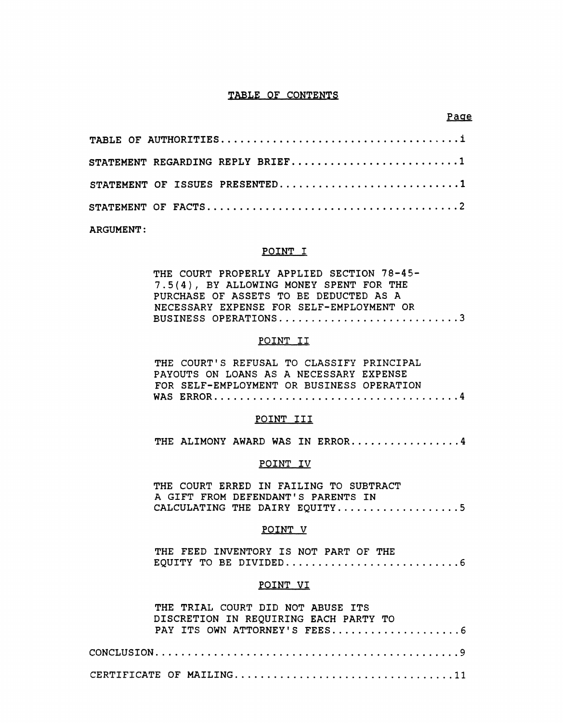#### **TABLE OF CONTENTS**

| STATEMENT REGARDING REPLY BRIEF1 |  |  |  |  |  |
|----------------------------------|--|--|--|--|--|
| STATEMENT OF ISSUES PRESENTED1   |  |  |  |  |  |
|                                  |  |  |  |  |  |

**ARGUMENT:** 

#### **POINT I**

| THE COURT PROPERLY APPLIED SECTION 78-45- |
|-------------------------------------------|
| 7.5(4), BY ALLOWING MONEY SPENT FOR THE   |
| PURCHASE OF ASSETS TO BE DEDUCTED AS A    |
| NECESSARY EXPENSE FOR SELF-EMPLOYMENT OR  |
| BUSINESS OPERATIONS3                      |

## **POINT II**

**THE COURT'S REFUSAL TO CLASSIFY PRINCIPAL PAYOUTS ON LOANS AS A NECESSARY EXPENSE FOR SELF-EMPLOYMENT OR BUSINESS OPERATION WAS ERROR 4** 

#### **POINT III**

THE ALIMONY AWARD WAS IN ERROR...............4

#### **POINT IV**

**THE COURT ERRED IN FAILING TO SUBTRACT A GIFT FROM DEFENDANT'S PARENTS IN** 

## **CALCULATING THE DAIRY EQUITY 5**

THE FEED INVENTORY IS NOT PART OF THE **THE FEED INVENTORY IS NOT PART OF THE** 

#### **POINT VI**

| THE TRIAL COURT DID NOT ABUSE ITS     |
|---------------------------------------|
| DISCRETION IN REQUIRING EACH PARTY TO |
|                                       |
|                                       |
|                                       |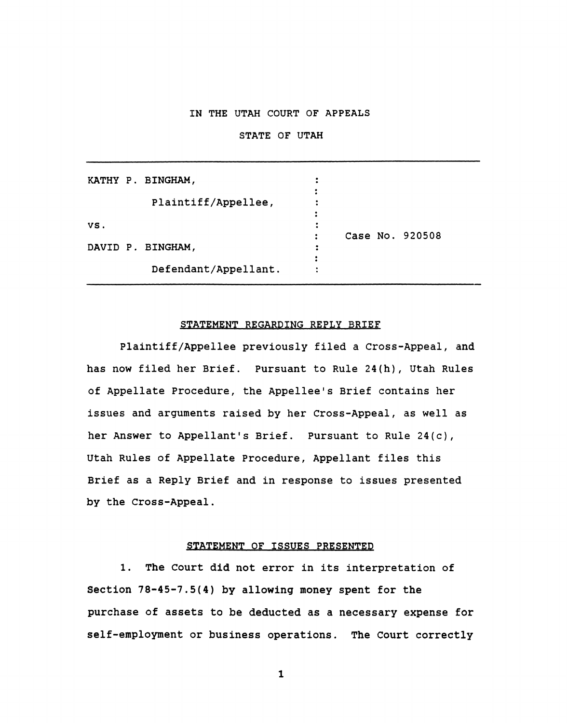## **IN THE UTAH COURT OF APPEALS**

#### **STATE OF UTAH**

|     | KATHY P. BINGHAM,    |  |                 |
|-----|----------------------|--|-----------------|
|     |                      |  |                 |
|     | Plaintiff/Appellee,  |  |                 |
|     |                      |  |                 |
| VS. |                      |  |                 |
|     |                      |  | Case No. 920508 |
|     | DAVID P. BINGHAM,    |  |                 |
|     |                      |  |                 |
|     | Defendant/Appellant. |  |                 |

#### **STATEMENT REGARDING REPLY BRIEF**

**Plaintiff/Appellee previously filed a Cross-Appeal, and has now filed her Brief. Pursuant to Rule 24(h), Utah Rules of Appellate Procedure, the Appellee's Brief contains her issues and arguments raised by her Cross-Appeal, as well as her Answer to Appellant's Brief. Pursuant to Rule 24(c), Utah Rules of Appellate Procedure, Appellant files this Brief as a Reply Brief and in response to issues presented by the Cross-Appeal.** 

#### **STATEMENT OF ISSUES PRESENTED**

**1. The Court did not error in its interpretation of Section 78-45-7.5(4) by allowing money spent for the purchase of assets to be deducted as a necessary expense for self-employment or business operations. The Court correctly**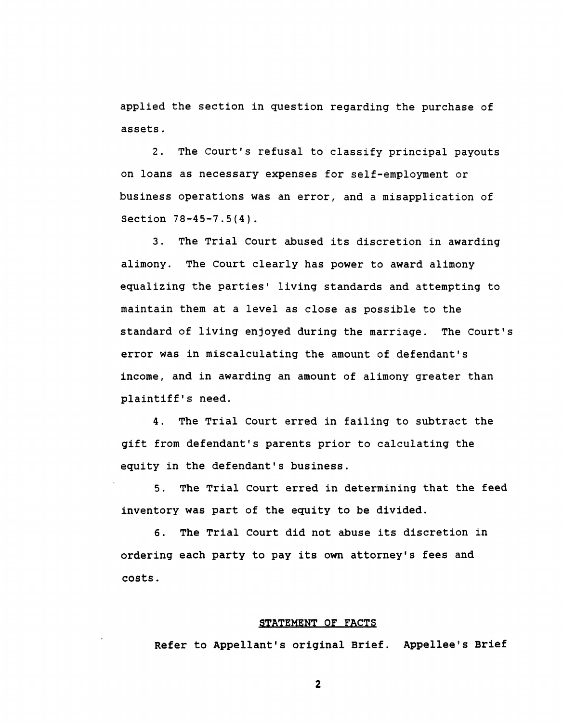**applied the section in question regarding the purchase of assets.** 

**2. The Court's refusal to classify principal payouts on loans as necessary expenses for self-employment or business operations was an error, and a misapplication of Section 78-45-7.5(4) .** 

**3. The Trial Court abused its discretion in awarding alimony. The Court clearly has power to award alimony equalizing the parties<sup>1</sup> living standards and attempting to maintain them at a level as close as possible to the standard of living enjoyed during the marriage. The Court's error was in miscalculating the amount of defendant's income, and in awarding an amount of alimony greater than plaintiff's need.** 

**4. The Trial Court erred in failing to subtract the gift from defendant's parents prior to calculating the equity in the defendant's business.** 

**5. The Trial Court erred in determining that the feed inventory was part of the equity to be divided.** 

**6. The Trial Court did not abuse its discretion in ordering each party to pay its own attorney's fees and costs.** 

#### **STATEMENT OF FACTS**

**Refer to Appellant's original Brief. Appellee's Brief**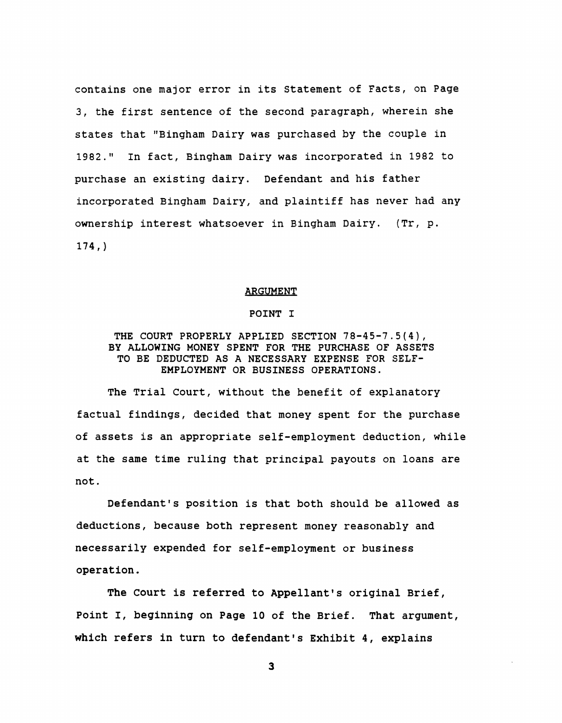**contains one major error in its Statement of Facts, on Page 3, the first sentence of the second paragraph, wherein she states that "Bingham Dairy was purchased by the couple in 1982." In fact, Bingham Dairy was incorporated in 1982 to purchase an existing dairy. Defendant and his father incorporated Bingham Dairy, and plaintiff has never had any ownership interest whatsoever in Bingham Dairy. (Tr, p. 174,)** 

#### **ARGUMENT**

#### **POINT I**

## **THE COURT PROPERLY APPLIED SECTION 78-45-7.5(4), BY ALLOWING MONEY SPENT FOR THE PURCHASE OF ASSETS TO BE DEDUCTED AS A NECESSARY EXPENSE FOR SELF-EMPLOYMENT OR BUSINESS OPERATIONS.**

**The Trial Court, without the benefit of explanatory factual findings, decided that money spent for the purchase of assets is an appropriate self-employment deduction, while at the same time ruling that principal payouts on loans are not.** 

Defendant's position is that both should be allowed as **deductions, because both represent money reasonably and necessarily expended for self-employment or business operation.** 

**The Court is referred to Appellant's original Brief, Point I, beginning on Page 10 of the Brief. That argument, which refers in turn to defendant's Exhibit 4, explains**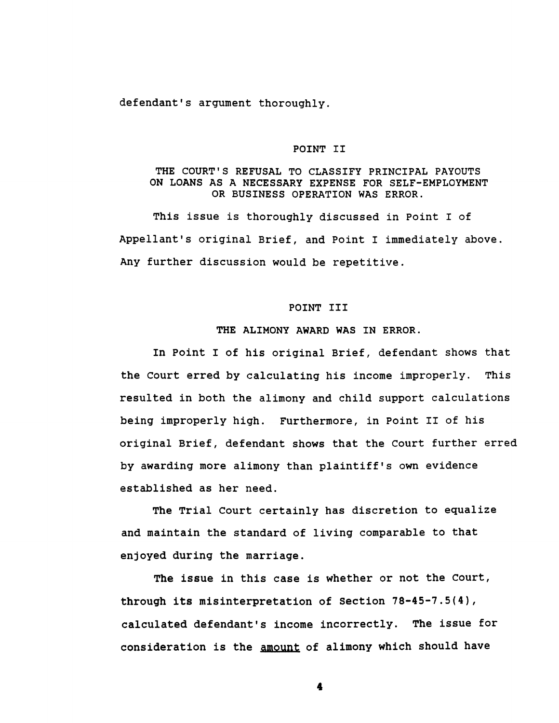**defendant's argument thoroughly.** 

#### **POINT II**

## **THE COURT'S REFUSAL TO CLASSIFY PRINCIPAL PAYOUTS ON LOANS AS A NECESSARY EXPENSE FOR SELF-EMPLOYMENT OR BUSINESS OPERATION WAS ERROR.**

**This issue is thoroughly discussed in Point I of Appellant's original Brief, and Point I immediately above. Any further discussion would be repetitive.** 

#### **POINT III**

#### **THE ALIMONY AWARD WAS IN ERROR.**

**In Point I of his original Brief, defendant shows that the Court erred by calculating his income improperly. This resulted in both the alimony and child support calculations being improperly high. Furthermore, in Point II of his original Brief, defendant shows that the Court further erred by awarding more alimony than plaintiff's own evidence established as her need.** 

**The Trial Court certainly has discretion to equalize and maintain the standard of living comparable to that enjoyed during the marriage.** 

**The issue in this case is whether or not the Court, through its misinterpretation of Section 78-45-7.5(4), calculated defendant's income incorrectly. The issue for consideration is the amount of alimony which should have**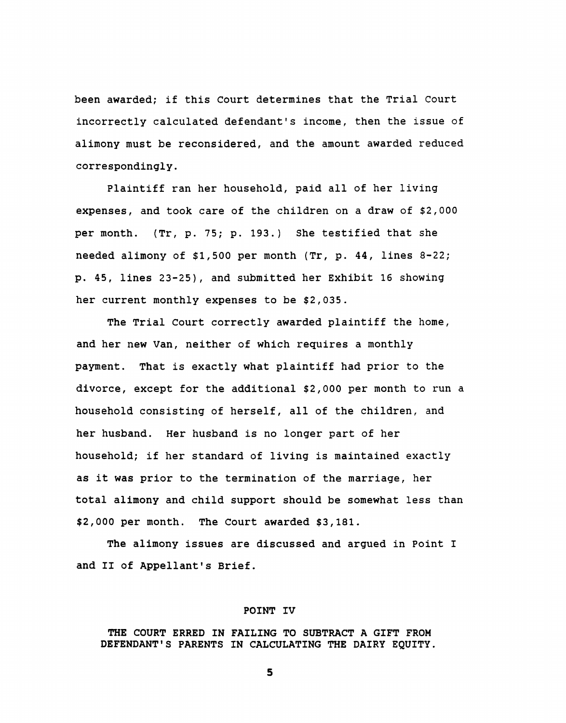**been awarded; if this Court determines that the Trial Court incorrectly calculated defendant's income, then the issue of alimony must be reconsidered, and the amount awarded reduced correspondingly.** 

**Plaintiff ran her household, paid all of her living expenses, and took care of the children on a draw of \$2,000 per month. (Tr, p. 75; p. 193.) She testified that she needed alimony of \$1,500 per month (Tr, p. 44, lines 8-22; p. 45, lines 23-25), and submitted her Exhibit 16 showing her current monthly expenses to be \$2,035.** 

**The Trial Court correctly awarded plaintiff the home, and her new Van, neither of which requires a monthly payment. That is exactly what plaintiff had prior to the divorce, except for the additional \$2,000 per month to run a household consisting of herself, all of the children, and her husband. Her husband is no longer part of her household; if her standard of living is maintained exactly as it was prior to the termination of the marriage, her total alimony and child support should be somewhat less than \$2,000 per month. The Court awarded \$3,181.** 

**The alimony issues are discussed and argued in Point I and II of Appellant's Brief.** 

#### **POINT IV**

**THE COURT ERRED IN FAILING TO SUBTRACT A GIFT FROM DEFENDANT'S PARENTS IN CALCULATING THE DAIRY EQUITY.**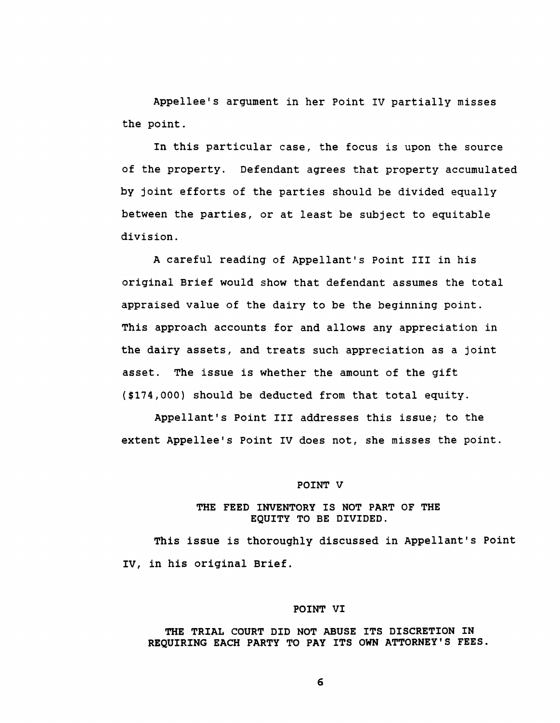**Appellee's argument in her Point IV partially misses the point.** 

**In this particular case, the focus is upon the source of the property. Defendant agrees that property accumulated by joint efforts of the parties should be divided equally between the parties, or at least be subject to equitable division.** 

**A careful reading of Appellant's Point III in his original Brief would show that defendant assumes the total appraised value of the dairy to be the beginning point. This approach accounts for and allows any appreciation in the dairy assets, and treats such appreciation as a joint asset. The issue is whether the amount of the gift (\$174,000) should be deducted from that total equity.** 

**Appellant's Point III addresses this issue; to the extent Appellee's Point IV does not, she misses the point.** 

#### **POINT V**

## **THE FEED INVENTORY IS NOT PART OF THE EQUITY TO BE DIVIDED.**

**This issue is thoroughly discussed in Appellant's Point IV, in his original Brief.** 

#### **POINT VI**

## **THE TRIAL COURT DID NOT ABUSE ITS DISCRETION IN REQUIRING EACH PARTY TO PAY ITS OWN ATTORNEY'S FEES.**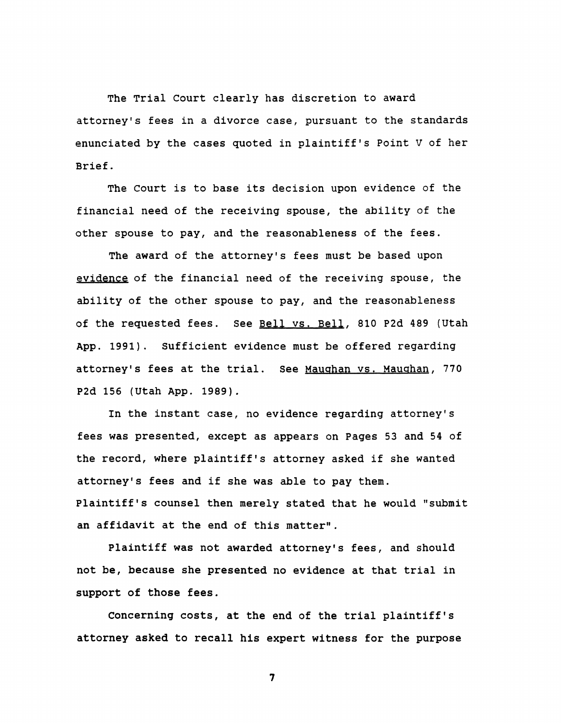**The Trial Court clearly has discretion to award attorney's fees in a divorce case, pursuant to the standards enunciated by the cases quoted in plaintiff's Point V of her Brief.** 

**The Court is to base its decision upon evidence of the financial need of the receiving spouse, the ability of the other spouse to pay, and the reasonableness of the fees.** 

**The award of the attorney's fees must be based upon evidence of the financial need of the receiving spouse, the ability of the other spouse to pay, and the reasonableness of the requested fees. See Bell vs. Bell, 810 P2d 489 (Utah App. 1991). Sufficient evidence must be offered regarding**  attorney's fees at the trial. See Maughan vs. Maughan, 770 **P2d 156 (Utah App. 1989).** 

**In the instant case, no evidence regarding attorney's fees was presented, except as appears on Pages 53 and 54 of the record, where plaintiff's attorney asked if she wanted attorney's fees and if she was able to pay them. Plaintiff's counsel then merely stated that he would "submit an affidavit at the end of this matter".** 

**Plaintiff was not awarded attorney's fees, and should not be, because she presented no evidence at that trial in support of those fees.** 

**Concerning costs, at the end of the trial plaintiff's attorney asked to recall his expert witness for the purpose**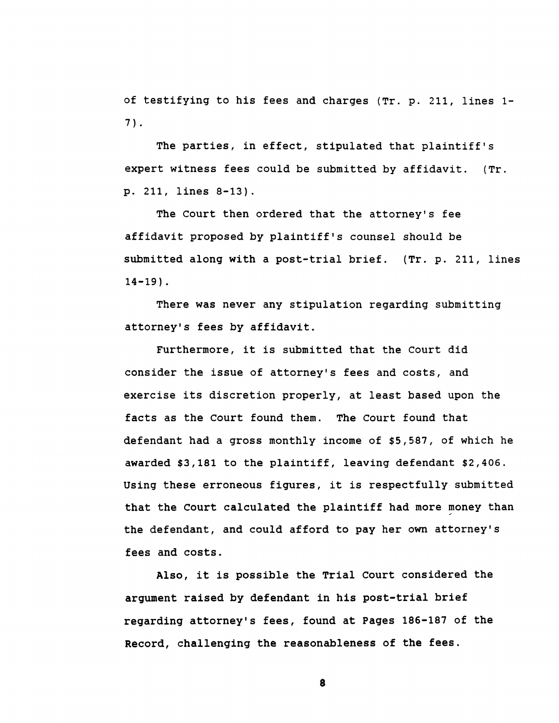**of testifying to his fees and charges (Tr. p. 211, lines 1- 7).** 

**The parties, in effect, stipulated that plaintiff<sup>f</sup>s expert witness fees could be submitted by affidavit. (Tr. p. 211, lines 8-13) .** 

**The Court then ordered that the attorney<sup>f</sup>s fee affidavit proposed by plaintiff's counsel should be submitted along with a post-trial brief. (Tr. p. 211, lines 14-19).** 

**There was never any stipulation regarding submitting attorney's fees by affidavit.** 

**Furthermore, it is submitted that the Court did consider the issue of attorney's fees and costs, and exercise its discretion properly, at least based upon the facts as the Court found them. The Court found that defendant had a gross monthly income of \$5,587, of which he awarded \$3,181 to the plaintiff, leaving defendant \$2,406. Using these erroneous figures, it is respectfully submitted that the Court calculated the plaintiff had more money than the defendant, and could afford to pay her own attorney's fees and costs.** 

**Also, it is possible the Trial Court considered the argument raised by defendant in his post-trial brief regarding attorney's fees, found at Pages 186-187 of the Record, challenging the reasonableness of the fees.**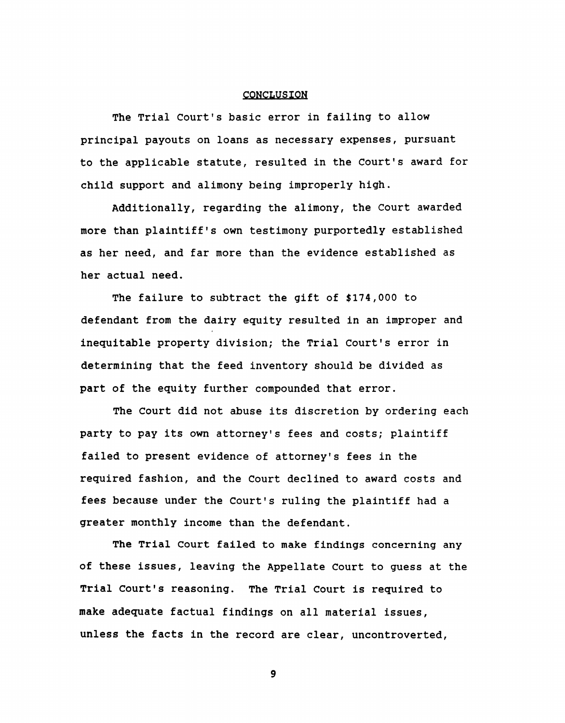#### **CONCLUSION**

**The Trial Court's basic error in failing to allow principal payouts on loans as necessary expenses, pursuant to the applicable statute, resulted in the Court's award for child support and alimony being improperly high.** 

**Additionally, regarding the alimony, the Court awarded more than plaintiff's own testimony purportedly established as her need, and far more than the evidence established as her actual need.** 

**The failure to subtract the gift of \$174,000 to defendant from the dairy equity resulted in an improper and inequitable property division; the Trial Court's error in determining that the feed inventory should be divided as part of the equity further compounded that error.** 

**The Court did not abuse its discretion by ordering each party to pay its own attorney's fees and costs; plaintiff failed to present evidence of attorney's fees in the required fashion, and the Court declined to award costs and fees because under the Court's ruling the plaintiff had a greater monthly income than the defendant.** 

**The Trial Court failed to make findings concerning any of these issues, leaving the Appellate Court to guess at the Trial Court's reasoning. The Trial Court is required to make adequate factual findings on all material issues, unless the facts in the record are clear, uncontroverted,**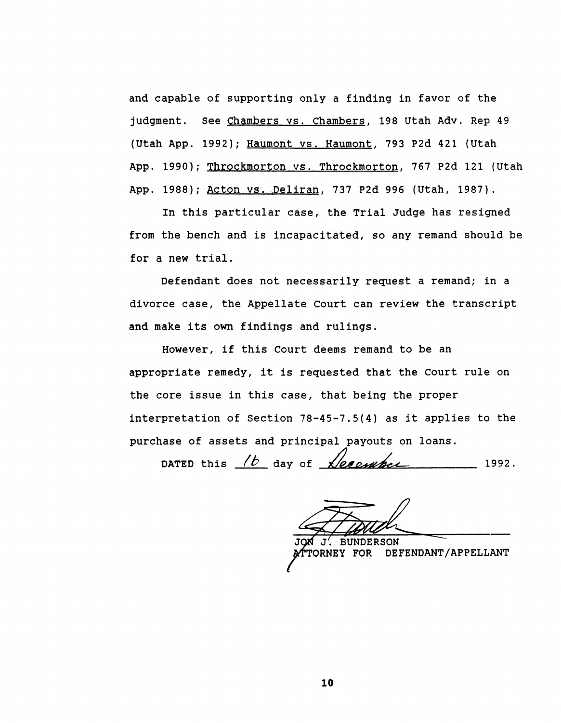**and capable of supporting only a finding in favor of the judgment. See Chambers vs. Chambers. 198 Utah Adv. Rep 49 (Utah App. 1992); Haumont vs. Haumont, 793 P2d 421 (Utah App. 1990); Throckmorton vs. Throckmorton, 767 P2d 121 (Utah App. 1988); Acton vs. Deliran. 737 P2d 996 (Utah, 1987).** 

**In this particular case, the Trial Judge has resigned from the bench and is incapacitated, so any remand should be for a new trial.** 

**Defendant does not necessarily request a remand; in a divorce case, the Appellate Court can review the transcript and make its own findings and rulings.** 

**However, if this Court deems remand to be an appropriate remedy, it is requested that the Court rule on the core issue in this case, that being the proper interpretation of Section 78-45-7.5(4) as it applies to the purchase of assets and principal payouts on loans.** 

DATED this  $\frac{1}{b}$  day of  $\frac{1}{2}$   $\frac{1992}{a}$ 

**M** J'. BUNDERSON<br>TORNEY FOR DE! **ATTTORNE C Y FOR DEFENDANT/APPELLANT**